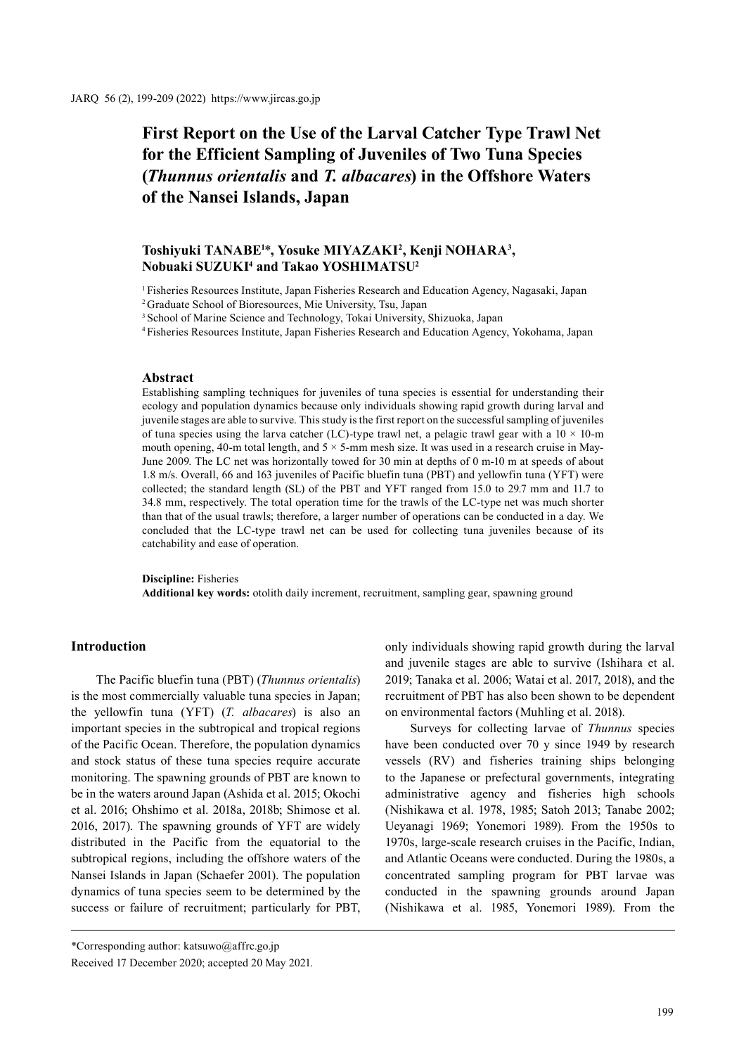# **First Report on the Use of the Larval Catcher Type Trawl Net for the Efficient Sampling of Juveniles of Two Tuna Species (***Thunnus orientalis* **and** *T. albacares***) in the Offshore Waters of the Nansei Islands, Japan**

# **Toshiyuki TANABE1** \***, Yosuke MIYAZAKI2 , Kenji NOHARA3 , Nobuaki SUZUKI4 and Takao YOSHIMATSU2**

1 Fisheries Resources Institute, Japan Fisheries Research and Education Agency, Nagasaki, Japan

2 Graduate School of Bioresources, Mie University, Tsu, Japan

<sup>3</sup> School of Marine Science and Technology, Tokai University, Shizuoka, Japan

4 Fisheries Resources Institute, Japan Fisheries Research and Education Agency, Yokohama, Japan

# **Abstract**

Establishing sampling techniques for juveniles of tuna species is essential for understanding their ecology and population dynamics because only individuals showing rapid growth during larval and juvenile stages are able to survive. This study is the first report on the successful sampling of juveniles of tuna species using the larva catcher (LC)-type trawl net, a pelagic trawl gear with a  $10 \times 10$ -m mouth opening, 40-m total length, and  $5 \times 5$ -mm mesh size. It was used in a research cruise in May-June 2009. The LC net was horizontally towed for 30 min at depths of 0 m-10 m at speeds of about 1.8 m/s. Overall, 66 and 163 juveniles of Pacific bluefin tuna (PBT) and yellowfin tuna (YFT) were collected; the standard length (SL) of the PBT and YFT ranged from 15.0 to 29.7 mm and 11.7 to 34.8 mm, respectively. The total operation time for the trawls of the LC-type net was much shorter than that of the usual trawls; therefore, a larger number of operations can be conducted in a day. We concluded that the LC-type trawl net can be used for collecting tuna juveniles because of its catchability and ease of operation.

#### **Discipline:** Fisheries **Additional key words:** otolith daily increment, recruitment, sampling gear, spawning ground

## **Introduction**

The Pacific bluefin tuna (PBT) (*Thunnus orientalis*) is the most commercially valuable tuna species in Japan; the yellowfin tuna (YFT) (*T. albacares*) is also an important species in the subtropical and tropical regions of the Pacific Ocean. Therefore, the population dynamics and stock status of these tuna species require accurate monitoring. The spawning grounds of PBT are known to be in the waters around Japan (Ashida et al. 2015; Okochi et al. 2016; Ohshimo et al. 2018a, 2018b; Shimose et al. 2016, 2017). The spawning grounds of YFT are widely distributed in the Pacific from the equatorial to the subtropical regions, including the offshore waters of the Nansei Islands in Japan (Schaefer 2001). The population dynamics of tuna species seem to be determined by the success or failure of recruitment; particularly for PBT,

only individuals showing rapid growth during the larval and juvenile stages are able to survive (Ishihara et al. 2019; Tanaka et al. 2006; Watai et al. 2017, 2018), and the recruitment of PBT has also been shown to be dependent on environmental factors (Muhling et al. 2018).

Surveys for collecting larvae of *Thunnus* species have been conducted over 70 y since 1949 by research vessels (RV) and fisheries training ships belonging to the Japanese or prefectural governments, integrating administrative agency and fisheries high schools (Nishikawa et al. 1978, 1985; Satoh 2013; Tanabe 2002; Ueyanagi 1969; Yonemori 1989). From the 1950s to 1970s, large-scale research cruises in the Pacific, Indian, and Atlantic Oceans were conducted. During the 1980s, a concentrated sampling program for PBT larvae was conducted in the spawning grounds around Japan (Nishikawa et al. 1985, Yonemori 1989). From the

<sup>\*</sup>Corresponding author: katsuwo@affrc.go.jp

Received 17 December 2020; accepted 20 May 2021.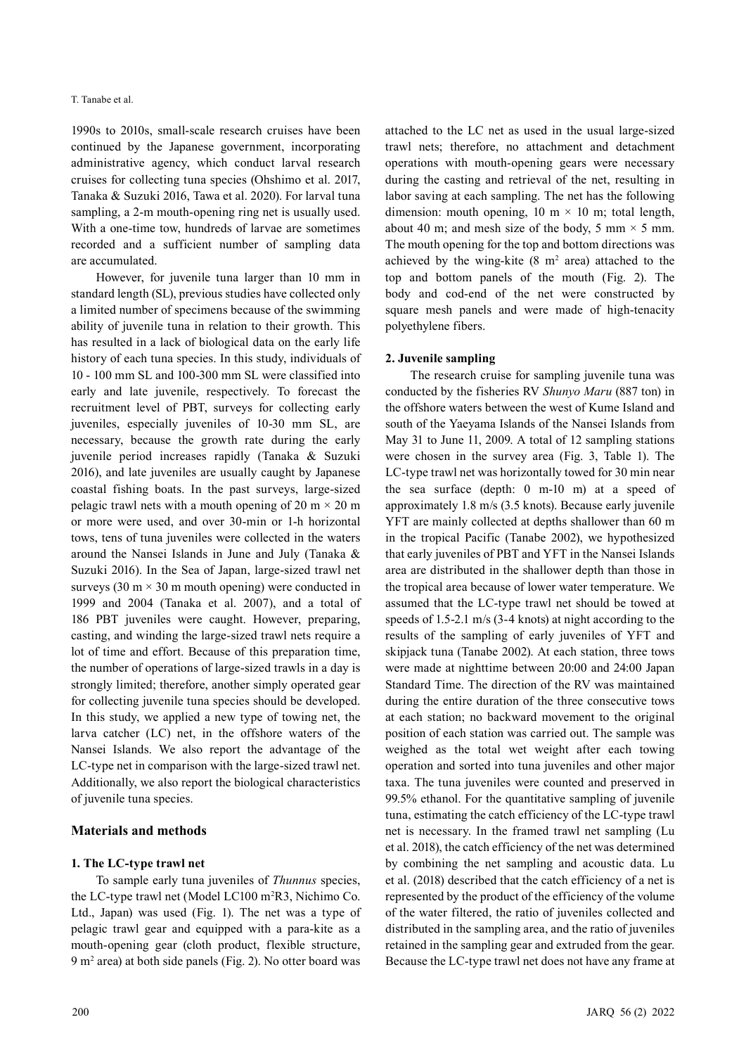1990s to 2010s, small-scale research cruises have been continued by the Japanese government, incorporating administrative agency, which conduct larval research cruises for collecting tuna species (Ohshimo et al. 2017, Tanaka & Suzuki 2016, Tawa et al. 2020). For larval tuna sampling, a 2-m mouth-opening ring net is usually used. With a one-time tow, hundreds of larvae are sometimes recorded and a sufficient number of sampling data are accumulated.

However, for juvenile tuna larger than 10 mm in standard length (SL), previous studies have collected only a limited number of specimens because of the swimming ability of juvenile tuna in relation to their growth. This has resulted in a lack of biological data on the early life history of each tuna species. In this study, individuals of 10 - 100 mm SL and 100-300 mm SL were classified into early and late juvenile, respectively. To forecast the recruitment level of PBT, surveys for collecting early juveniles, especially juveniles of 10-30 mm SL, are necessary, because the growth rate during the early juvenile period increases rapidly (Tanaka & Suzuki 2016), and late juveniles are usually caught by Japanese coastal fishing boats. In the past surveys, large-sized pelagic trawl nets with a mouth opening of 20 m  $\times$  20 m or more were used, and over 30-min or 1-h horizontal tows, tens of tuna juveniles were collected in the waters around the Nansei Islands in June and July (Tanaka & Suzuki 2016). In the Sea of Japan, large-sized trawl net surveys (30 m  $\times$  30 m mouth opening) were conducted in 1999 and 2004 (Tanaka et al. 2007), and a total of 186 PBT juveniles were caught. However, preparing, casting, and winding the large-sized trawl nets require a lot of time and effort. Because of this preparation time, the number of operations of large-sized trawls in a day is strongly limited; therefore, another simply operated gear for collecting juvenile tuna species should be developed. In this study, we applied a new type of towing net, the larva catcher (LC) net, in the offshore waters of the Nansei Islands. We also report the advantage of the LC-type net in comparison with the large-sized trawl net. Additionally, we also report the biological characteristics of juvenile tuna species.

# **Materials and methods**

## **1. The LC-type trawl net**

To sample early tuna juveniles of *Thunnus* species, the LC-type trawl net (Model LC100 m2 R3, Nichimo Co. Ltd., Japan) was used (Fig. 1). The net was a type of pelagic trawl gear and equipped with a para-kite as a mouth-opening gear (cloth product, flexible structure, 9 m2 area) at both side panels (Fig. 2). No otter board was attached to the LC net as used in the usual large-sized trawl nets; therefore, no attachment and detachment operations with mouth-opening gears were necessary during the casting and retrieval of the net, resulting in labor saving at each sampling. The net has the following dimension: mouth opening,  $10 \text{ m} \times 10 \text{ m}$ ; total length, about 40 m; and mesh size of the body, 5 mm  $\times$  5 mm. The mouth opening for the top and bottom directions was achieved by the wing-kite  $(8 \text{ m}^2 \text{ area})$  attached to the top and bottom panels of the mouth (Fig. 2). The body and cod-end of the net were constructed by square mesh panels and were made of high-tenacity polyethylene fibers.

## **2. Juvenile sampling**

The research cruise for sampling juvenile tuna was conducted by the fisheries RV *Shunyo Maru* (887 ton) in the offshore waters between the west of Kume Island and south of the Yaeyama Islands of the Nansei Islands from May 31 to June 11, 2009. A total of 12 sampling stations were chosen in the survey area (Fig. 3, Table 1). The LC-type trawl net was horizontally towed for 30 min near the sea surface (depth: 0 m-10 m) at a speed of approximately 1.8 m/s (3.5 knots). Because early juvenile YFT are mainly collected at depths shallower than 60 m in the tropical Pacific (Tanabe 2002), we hypothesized that early juveniles of PBT and YFT in the Nansei Islands area are distributed in the shallower depth than those in the tropical area because of lower water temperature. We assumed that the LC-type trawl net should be towed at speeds of 1.5-2.1 m/s (3-4 knots) at night according to the results of the sampling of early juveniles of YFT and skipjack tuna (Tanabe 2002). At each station, three tows were made at nighttime between 20:00 and 24:00 Japan Standard Time. The direction of the RV was maintained during the entire duration of the three consecutive tows at each station; no backward movement to the original position of each station was carried out. The sample was weighed as the total wet weight after each towing operation and sorted into tuna juveniles and other major taxa. The tuna juveniles were counted and preserved in 99.5% ethanol. For the quantitative sampling of juvenile tuna, estimating the catch efficiency of the LC-type trawl net is necessary. In the framed trawl net sampling (Lu et al. 2018), the catch efficiency of the net was determined by combining the net sampling and acoustic data. Lu et al. (2018) described that the catch efficiency of a net is represented by the product of the efficiency of the volume of the water filtered, the ratio of juveniles collected and distributed in the sampling area, and the ratio of juveniles retained in the sampling gear and extruded from the gear. Because the LC-type trawl net does not have any frame at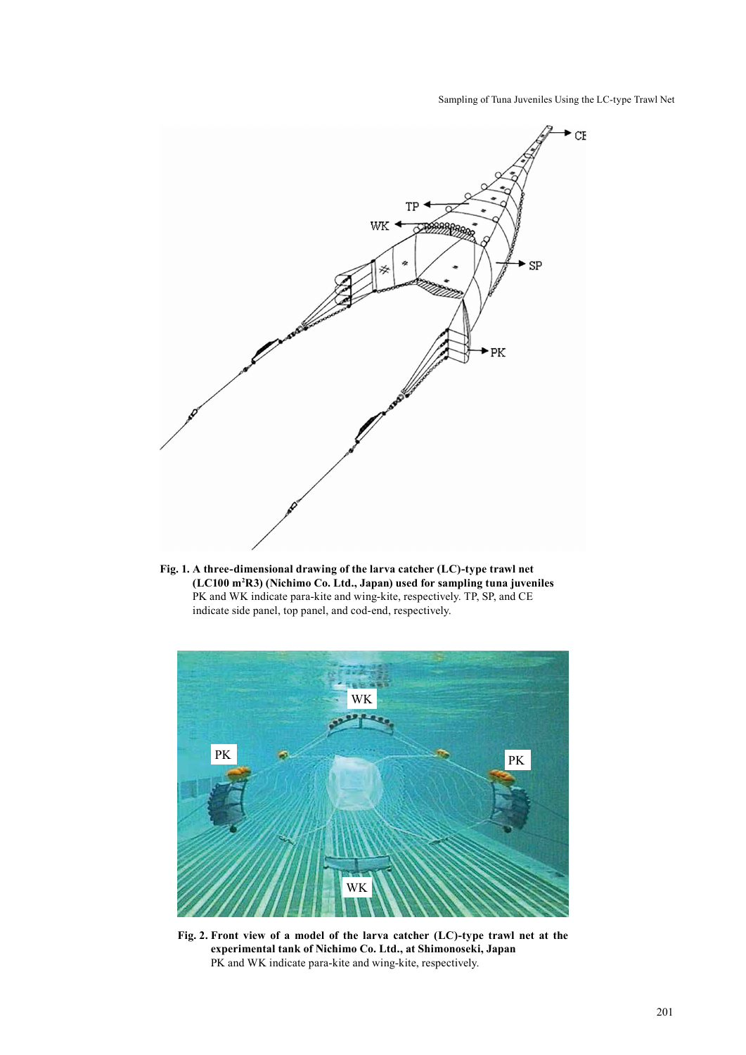Sampling of Tuna Juveniles Using the LC-type Trawl Net



**Fig. 1. A three-dimensional drawing of the larva catcher (LC)-type trawl net (LC100 m2 R3) (Nichimo Co. Ltd., Japan) used for sampling tuna juveniles** PK and WK indicate para-kite and wing-kite, respectively. TP, SP, and CE indicate side panel, top panel, and cod-end, respectively.



**Fig. 2. Front view of a model of the larva catcher (LC)-type trawl net at the experimental tank of Nichimo Co. Ltd., at Shimonoseki, Japan** PK and WK indicate para-kite and wing-kite, respectively.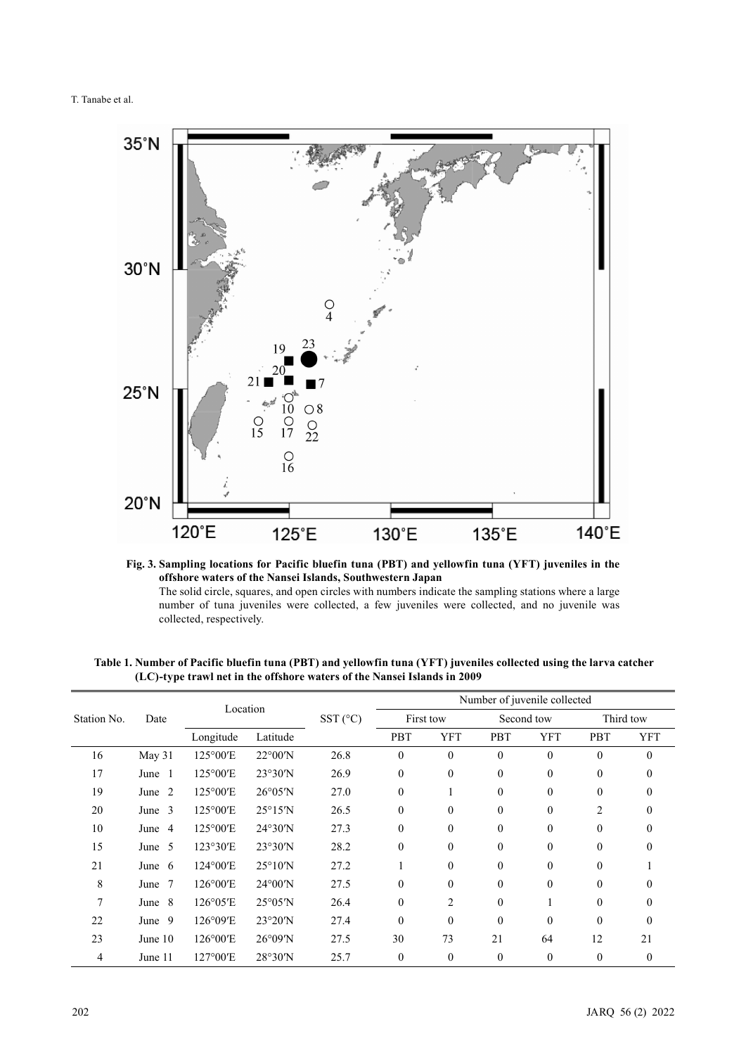

**Fig. 3. Sampling locations for Pacific bluefin tuna (PBT) and yellowfin tuna (YFT) juveniles in the offshore waters of the Nansei Islands, Southwestern Japan** The solid circle, squares, and open circles with numbers indicate the sampling stations where a large

number of tuna juveniles were collected, a few juveniles were collected, and no juvenile was collected, respectively.

| Station No.    | Date                    | Location          |                          | $SST(^{\circ}C)$ | Number of juvenile collected |                  |                |            |                |              |
|----------------|-------------------------|-------------------|--------------------------|------------------|------------------------------|------------------|----------------|------------|----------------|--------------|
|                |                         |                   |                          |                  | First tow                    |                  | Second tow     |            | Third tow      |              |
|                |                         | Longitude         | Latitude                 |                  | <b>PBT</b>                   | <b>YFT</b>       | <b>PBT</b>     | <b>YFT</b> | PBT            | <b>YFT</b>   |
| 16             | May 31                  | 125°00'E          | $22^{\circ}00'N$         | 26.8             | $\theta$                     | $\theta$         | $\mathbf{0}$   | $\theta$   | $\theta$       | $\mathbf{0}$ |
| 17             | June 1                  | 125°00'E          | 23°30'N                  | 26.9             | $\theta$                     | $\boldsymbol{0}$ | $\overline{0}$ | $\theta$   | $\theta$       | $\mathbf{0}$ |
| 19             | June 2                  | 125°00'E          | $26^{\circ}05'$ N        | 27.0             | $\theta$                     |                  | $\Omega$       | $\theta$   | $\theta$       | $\theta$     |
| 20             | June 3                  | $125^{\circ}00'E$ | $25^{\circ}15'$ N        | 26.5             | $\mathbf{0}$                 | $\theta$         | $\mathbf{0}$   | $\theta$   | $\overline{2}$ | $\mathbf{0}$ |
| 10             | $\overline{4}$<br>June  | 125°00'E          | 24°30'N                  | 27.3             | $\theta$                     | $\theta$         | $\Omega$       | $\theta$   | $\theta$       | $\mathbf{0}$ |
| 15             | June 5                  | 123°30'E          | 23°30'N                  | 28.2             | $\theta$                     | $\theta$         | $\mathbf{0}$   | $\theta$   | $\mathbf{0}$   | $\Omega$     |
| 21             | June $6$                | $124^{\circ}00'E$ | $25^{\circ}10^{\prime}N$ | 27.2             |                              | $\theta$         | $\Omega$       | $\theta$   | $\mathbf{0}$   |              |
| 8              | $7\phantom{.0}$<br>June | $126^{\circ}00'E$ | $24^{\circ}00'$ N        | 27.5             | $\theta$                     | $\theta$         | $\theta$       | $\theta$   | $\theta$       | $\theta$     |
| $\overline{7}$ | June 8                  | $126^{\circ}05'E$ | $25^{\circ}05^{\prime}N$ | 26.4             | $\Omega$                     | 2                | $\theta$       |            | $\mathbf{0}$   | $\mathbf{0}$ |
| 22             | June 9                  | 126°09'E          | 23°20'N                  | 27.4             | $\Omega$                     | $\Omega$         | $\theta$       | $\theta$   | $\theta$       | $\theta$     |
| 23             | June 10                 | 126°00'E          | $26^{\circ}09^{\prime}N$ | 27.5             | 30                           | 73               | 21             | 64         | 12             | 21           |
| 4              | June 11                 | 127°00'E          | 28°30'N                  | 25.7             | $\overline{0}$               | $\theta$         | $\mathbf{0}$   | $\theta$   | $\theta$       | $\mathbf{0}$ |

**Table 1. Number of Pacific bluefin tuna (PBT) and yellowfin tuna (YFT) juveniles collected using the larva catcher (LC)-type trawl net in the offshore waters of the Nansei Islands in 2009**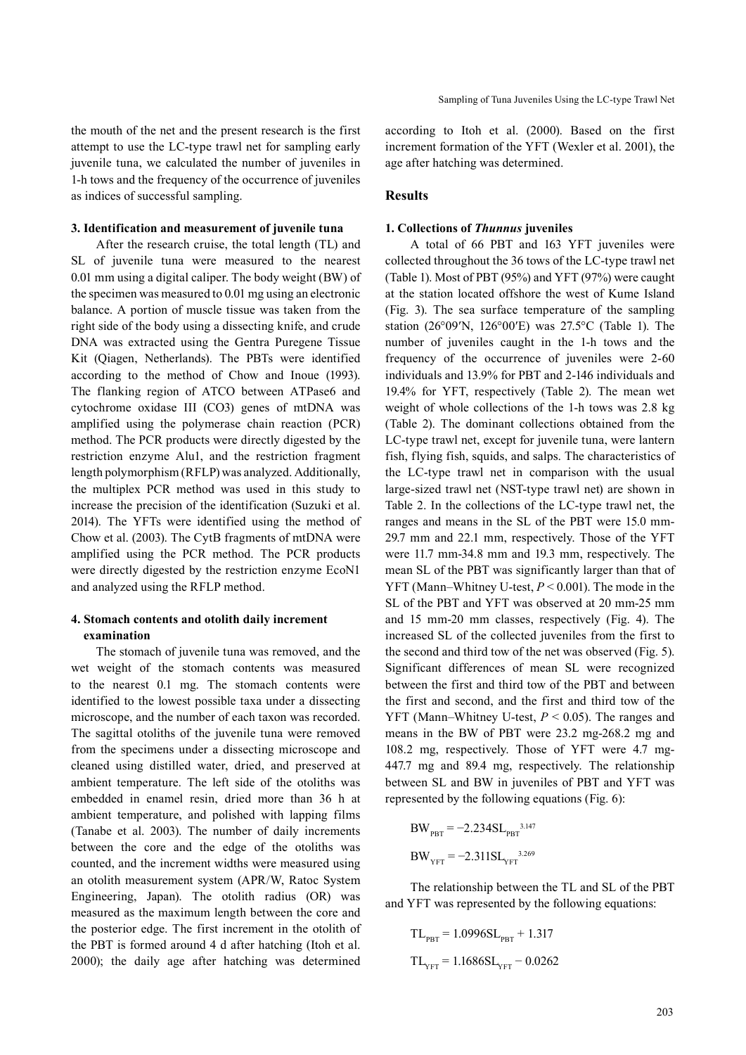the mouth of the net and the present research is the first attempt to use the LC-type trawl net for sampling early juvenile tuna, we calculated the number of juveniles in 1-h tows and the frequency of the occurrence of juveniles as indices of successful sampling.

# **3. Identification and measurement of juvenile tuna**

After the research cruise, the total length (TL) and SL of juvenile tuna were measured to the nearest 0.01 mm using a digital caliper. The body weight (BW) of the specimen was measured to 0.01 mg using an electronic balance. A portion of muscle tissue was taken from the right side of the body using a dissecting knife, and crude DNA was extracted using the Gentra Puregene Tissue Kit (Qiagen, Netherlands). The PBTs were identified according to the method of Chow and Inoue (1993). The flanking region of ATCO between ATPase6 and cytochrome oxidase III (CO3) genes of mtDNA was amplified using the polymerase chain reaction (PCR) method. The PCR products were directly digested by the restriction enzyme Alu1, and the restriction fragment length polymorphism (RFLP) was analyzed. Additionally, the multiplex PCR method was used in this study to increase the precision of the identification (Suzuki et al. 2014). The YFTs were identified using the method of Chow et al. (2003). The CytB fragments of mtDNA were amplified using the PCR method. The PCR products were directly digested by the restriction enzyme EcoN1 and analyzed using the RFLP method.

# **4. Stomach contents and otolith daily increment examination**

The stomach of juvenile tuna was removed, and the wet weight of the stomach contents was measured to the nearest 0.1 mg. The stomach contents were identified to the lowest possible taxa under a dissecting microscope, and the number of each taxon was recorded. The sagittal otoliths of the juvenile tuna were removed from the specimens under a dissecting microscope and cleaned using distilled water, dried, and preserved at ambient temperature. The left side of the otoliths was embedded in enamel resin, dried more than 36 h at ambient temperature, and polished with lapping films (Tanabe et al. 2003). The number of daily increments between the core and the edge of the otoliths was counted, and the increment widths were measured using an otolith measurement system (APR/W, Ratoc System Engineering, Japan). The otolith radius (OR) was measured as the maximum length between the core and the posterior edge. The first increment in the otolith of the PBT is formed around 4 d after hatching (Itoh et al. 2000); the daily age after hatching was determined

according to Itoh et al. (2000). Based on the first increment formation of the YFT (Wexler et al. 2001), the age after hatching was determined.

#### **Results**

#### **1. Collections of** *Thunnus* **juveniles**

A total of 66 PBT and 163 YFT juveniles were collected throughout the 36 tows of the LC-type trawl net (Table 1). Most of PBT (95%) and YFT (97%) were caught at the station located offshore the west of Kume Island (Fig. 3). The sea surface temperature of the sampling station (26°09′N, 126°00′E) was 27.5°C (Table 1). The number of juveniles caught in the 1-h tows and the frequency of the occurrence of juveniles were 2-60 individuals and 13.9% for PBT and 2-146 individuals and 19.4% for YFT, respectively (Table 2). The mean wet weight of whole collections of the 1-h tows was 2.8 kg (Table 2). The dominant collections obtained from the LC-type trawl net, except for juvenile tuna, were lantern fish, flying fish, squids, and salps. The characteristics of the LC-type trawl net in comparison with the usual large-sized trawl net (NST-type trawl net) are shown in Table 2. In the collections of the LC-type trawl net, the ranges and means in the SL of the PBT were 15.0 mm-29.7 mm and 22.1 mm, respectively. Those of the YFT were 11.7 mm-34.8 mm and 19.3 mm, respectively. The mean SL of the PBT was significantly larger than that of YFT (Mann–Whitney U-test, *P* < 0.001). The mode in the SL of the PBT and YFT was observed at 20 mm-25 mm and 15 mm-20 mm classes, respectively (Fig. 4). The increased SL of the collected juveniles from the first to the second and third tow of the net was observed (Fig. 5). Significant differences of mean SL were recognized between the first and third tow of the PBT and between the first and second, and the first and third tow of the YFT (Mann–Whitney U-test, *P* < 0.05). The ranges and means in the BW of PBT were 23.2 mg-268.2 mg and 108.2 mg, respectively. Those of YFT were 4.7 mg-447.7 mg and 89.4 mg, respectively. The relationship between SL and BW in juveniles of PBT and YFT was represented by the following equations (Fig. 6):

BWPBT = −2.234SLPBT 3.147 BWYFT = −2.311SLYFT 3.269

The relationship between the TL and SL of the PBT and YFT was represented by the following equations:

$$
TL_{\text{pBT}} = 1.0996 SL_{\text{pBT}} + 1.317
$$

$$
TL_{\text{YFT}} = 1.1686 SL_{\text{YFT}} - 0.0262
$$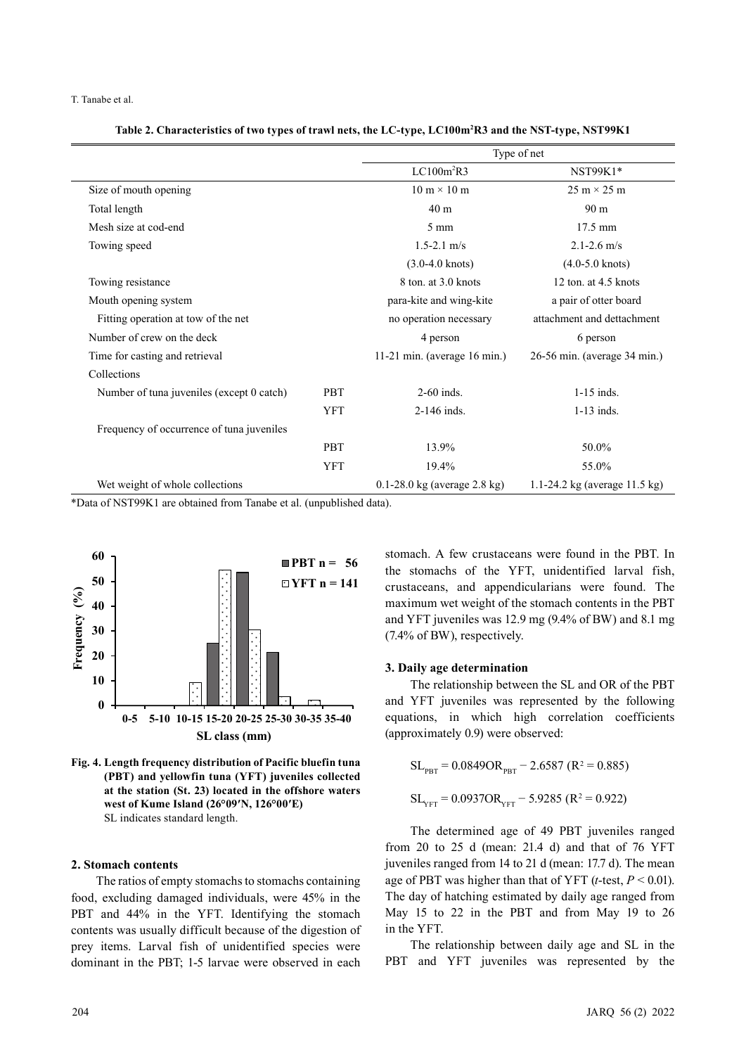T. Tanabe et al.

#### **Table 2. Characteristics of two types of trawl nets, the LC-type, LC100m2 R3 and the NST-type, NST99K1**

|                                           |            | Type of net                        |                                          |  |  |  |
|-------------------------------------------|------------|------------------------------------|------------------------------------------|--|--|--|
|                                           |            | LC100m <sup>2</sup> R3             | NST99K1*                                 |  |  |  |
| Size of mouth opening                     |            | $10 \text{ m} \times 10 \text{ m}$ | $25 \text{ m} \times 25 \text{ m}$       |  |  |  |
| Total length                              |            | 40 <sub>m</sub>                    | 90 <sub>m</sub>                          |  |  |  |
| Mesh size at cod-end                      |            | $5 \text{ mm}$                     | $17.5 \text{ mm}$                        |  |  |  |
| Towing speed                              |            | $1.5 - 2.1$ m/s                    | $2.1 - 2.6$ m/s                          |  |  |  |
|                                           |            | $(3.0-4.0 \text{ knots})$          | $(4.0-5.0 \text{ knots})$                |  |  |  |
| Towing resistance                         |            | 8 ton. at 3.0 knots                | 12 ton. at $4.5$ knots                   |  |  |  |
| Mouth opening system                      |            | para-kite and wing-kite            | a pair of otter board                    |  |  |  |
| Fitting operation at tow of the net       |            | no operation necessary             | attachment and dettachment               |  |  |  |
| Number of crew on the deck                |            | 4 person                           | 6 person                                 |  |  |  |
| Time for casting and retrieval            |            | 11-21 min. (average $16$ min.)     | 26-56 min. (average 34 min.)             |  |  |  |
| Collections                               |            |                                    |                                          |  |  |  |
| Number of tuna juveniles (except 0 catch) | <b>PBT</b> | $2-60$ inds.                       | $1-15$ inds.                             |  |  |  |
|                                           | <b>YFT</b> | 2-146 inds.                        | $1-13$ inds.                             |  |  |  |
| Frequency of occurrence of tuna juveniles |            |                                    |                                          |  |  |  |
|                                           | PBT        | 13.9%                              | 50.0%                                    |  |  |  |
|                                           | <b>YFT</b> | 19.4%                              | 55.0%                                    |  |  |  |
| Wet weight of whole collections           |            | $0.1 - 28.0$ kg (average 2.8 kg)   | 1.1-24.2 kg (average $11.5 \text{ kg}$ ) |  |  |  |

\*Data of NST99K1 are obtained from Tanabe et al. (unpublished data).





## **2. Stomach contents**

The ratios of empty stomachs to stomachs containing food, excluding damaged individuals, were 45% in the PBT and 44% in the YFT. Identifying the stomach contents was usually difficult because of the digestion of prey items. Larval fish of unidentified species were dominant in the PBT; 1-5 larvae were observed in each

stomach. A few crustaceans were found in the PBT. In the stomachs of the YFT, unidentified larval fish, crustaceans, and appendicularians were found. The maximum wet weight of the stomach contents in the PBT and YFT juveniles was 12.9 mg (9.4% of BW) and 8.1 mg (7.4% of BW), respectively.

# **3. Daily age determination**

The relationship between the SL and OR of the PBT and YFT juveniles was represented by the following equations, in which high correlation coefficients (approximately 0.9) were observed:

$$
SL_{\text{PBT}} = 0.0849 \text{OR}_{\text{PBT}} - 2.6587 \text{ (R}^2 = 0.885)
$$

$$
SL_{\text{YFT}} = 0.0937 \text{OR}_{\text{YFT}} - 5.9285 \text{ (R}^2 = 0.922)
$$

The determined age of 49 PBT juveniles ranged from 20 to 25 d (mean: 21.4 d) and that of 76 YFT juveniles ranged from 14 to 21 d (mean: 17.7 d). The mean age of PBT was higher than that of YFT (*t*-test, *P* < 0.01). The day of hatching estimated by daily age ranged from May 15 to 22 in the PBT and from May 19 to 26 in the YFT.

The relationship between daily age and SL in the PBT and YFT juveniles was represented by the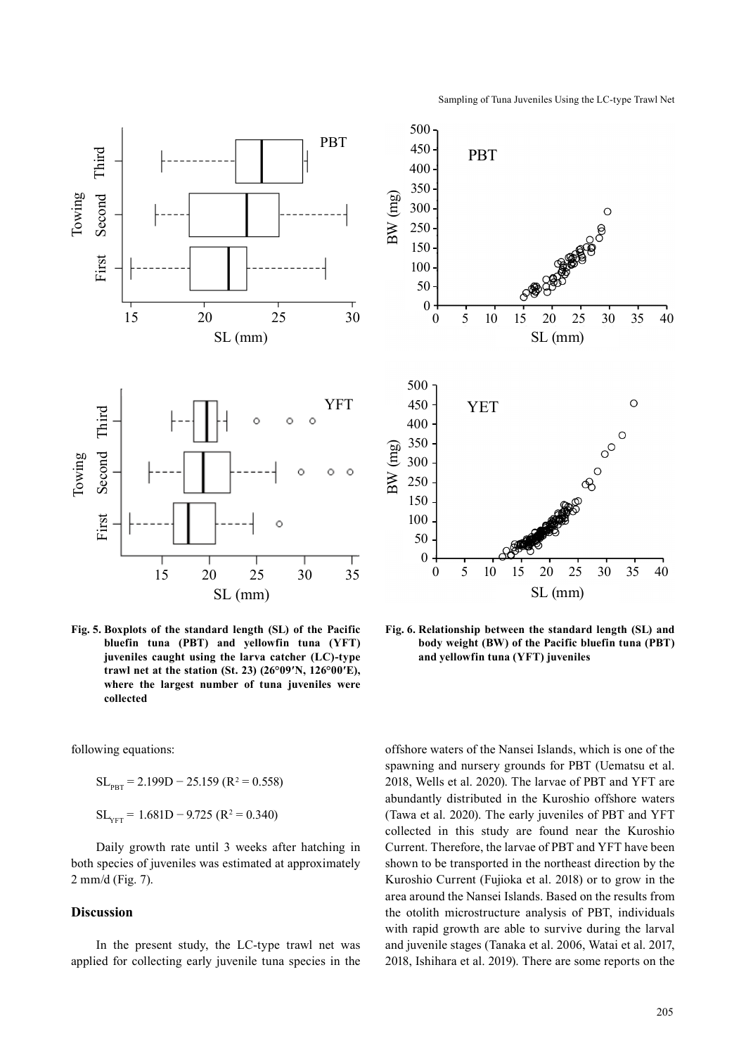

**Fig. 5. Boxplots of the standard length (SL) of the Pacific bluefin tuna (PBT) and yellowfin tuna (YFT) juveniles caught using the larva catcher (LC)-type trawl net at the station (St. 23) (26°09′N, 126°00′E), where the largest number of tuna juveniles were collected**

following equations:

 $SL_{\text{PBT}} = 2.199D - 25.159 (R^2 = 0.558)$  $SL_{YFT}$  = 1.681D – 9.725 (R<sup>2</sup> = 0.340)

Daily growth rate until 3 weeks after hatching in both species of juveniles was estimated at approximately 2 mm/d (Fig. 7).

# **Discussion**

In the present study, the LC-type trawl net was applied for collecting early juvenile tuna species in the



**Fig. 6. Relationship between the standard length (SL) and body weight (BW) of the Pacific bluefin tuna (PBT) and yellowfin tuna (YFT) juveniles**

offshore waters of the Nansei Islands, which is one of the spawning and nursery grounds for PBT (Uematsu et al. 2018, Wells et al. 2020). The larvae of PBT and YFT are abundantly distributed in the Kuroshio offshore waters (Tawa et al. 2020). The early juveniles of PBT and YFT collected in this study are found near the Kuroshio Current. Therefore, the larvae of PBT and YFT have been shown to be transported in the northeast direction by the Kuroshio Current (Fujioka et al. 2018) or to grow in the area around the Nansei Islands. Based on the results from the otolith microstructure analysis of PBT, individuals with rapid growth are able to survive during the larval and juvenile stages (Tanaka et al. 2006, Watai et al. 2017, 2018, Ishihara et al. 2019). There are some reports on the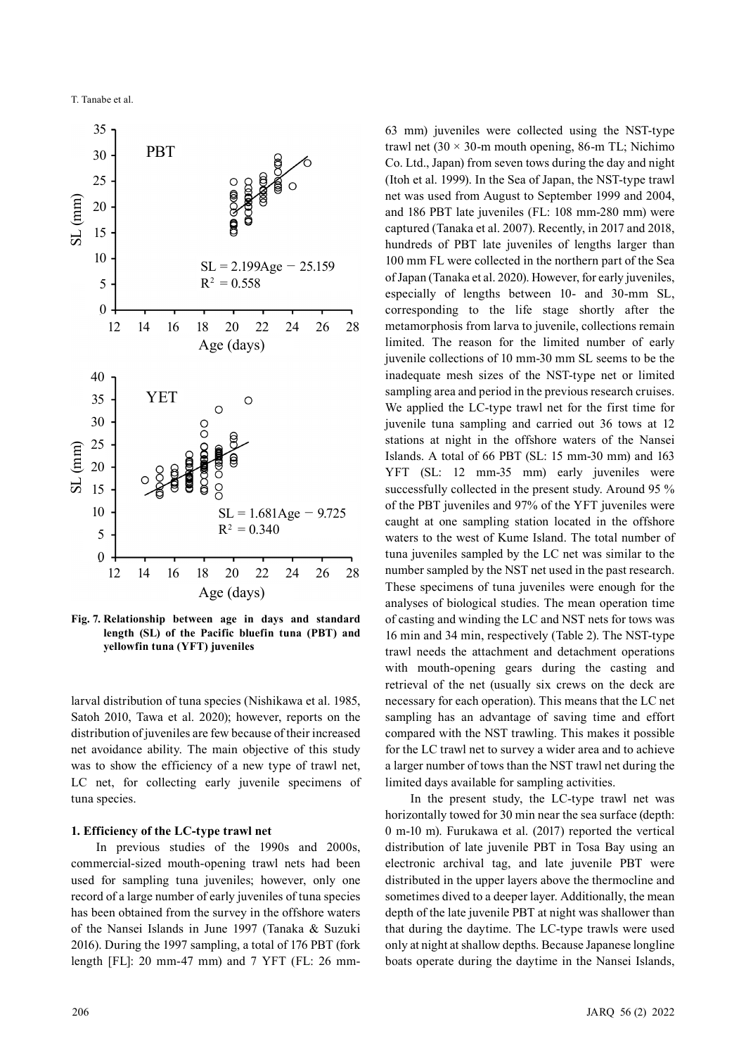

**Fig. 7. Relationship between age in days and standard length (SL) of the Pacific bluefin tuna (PBT) and yellowfin tuna (YFT) juveniles**

larval distribution of tuna species (Nishikawa et al. 1985, Satoh 2010, Tawa et al. 2020); however, reports on the distribution of juveniles are few because of their increased net avoidance ability. The main objective of this study was to show the efficiency of a new type of trawl net, LC net, for collecting early juvenile specimens of tuna species.

# **1. Efficiency of the LC-type trawl net**

In previous studies of the 1990s and 2000s, commercial-sized mouth-opening trawl nets had been used for sampling tuna juveniles; however, only one record of a large number of early juveniles of tuna species has been obtained from the survey in the offshore waters of the Nansei Islands in June 1997 (Tanaka & Suzuki 2016). During the 1997 sampling, a total of 176 PBT (fork length [FL]: 20 mm-47 mm) and 7 YFT (FL: 26 mm-

63 mm) juveniles were collected using the NST-type trawl net  $(30 \times 30)$ -m mouth opening, 86-m TL; Nichimo Co. Ltd., Japan) from seven tows during the day and night (Itoh et al. 1999). In the Sea of Japan, the NST-type trawl net was used from August to September 1999 and 2004, and 186 PBT late juveniles (FL: 108 mm-280 mm) were captured (Tanaka et al. 2007). Recently, in 2017 and 2018, hundreds of PBT late juveniles of lengths larger than 100 mm FL were collected in the northern part of the Sea of Japan (Tanaka et al. 2020). However, for early juveniles, especially of lengths between 10- and 30-mm SL, corresponding to the life stage shortly after the metamorphosis from larva to juvenile, collections remain limited. The reason for the limited number of early juvenile collections of 10 mm-30 mm SL seems to be the inadequate mesh sizes of the NST-type net or limited sampling area and period in the previous research cruises. We applied the LC-type trawl net for the first time for juvenile tuna sampling and carried out 36 tows at 12 stations at night in the offshore waters of the Nansei Islands. A total of 66 PBT (SL: 15 mm-30 mm) and 163 YFT (SL: 12 mm-35 mm) early juveniles were successfully collected in the present study. Around 95 % of the PBT juveniles and 97% of the YFT juveniles were caught at one sampling station located in the offshore waters to the west of Kume Island. The total number of tuna juveniles sampled by the LC net was similar to the number sampled by the NST net used in the past research. These specimens of tuna juveniles were enough for the analyses of biological studies. The mean operation time of casting and winding the LC and NST nets for tows was 16 min and 34 min, respectively (Table 2). The NST-type trawl needs the attachment and detachment operations with mouth-opening gears during the casting and retrieval of the net (usually six crews on the deck are necessary for each operation). This means that the LC net sampling has an advantage of saving time and effort compared with the NST trawling. This makes it possible for the LC trawl net to survey a wider area and to achieve a larger number of tows than the NST trawl net during the limited days available for sampling activities.

In the present study, the LC-type trawl net was horizontally towed for 30 min near the sea surface (depth: 0 m-10 m). Furukawa et al. (2017) reported the vertical distribution of late juvenile PBT in Tosa Bay using an electronic archival tag, and late juvenile PBT were distributed in the upper layers above the thermocline and sometimes dived to a deeper layer. Additionally, the mean depth of the late juvenile PBT at night was shallower than that during the daytime. The LC-type trawls were used only at night at shallow depths. Because Japanese longline boats operate during the daytime in the Nansei Islands,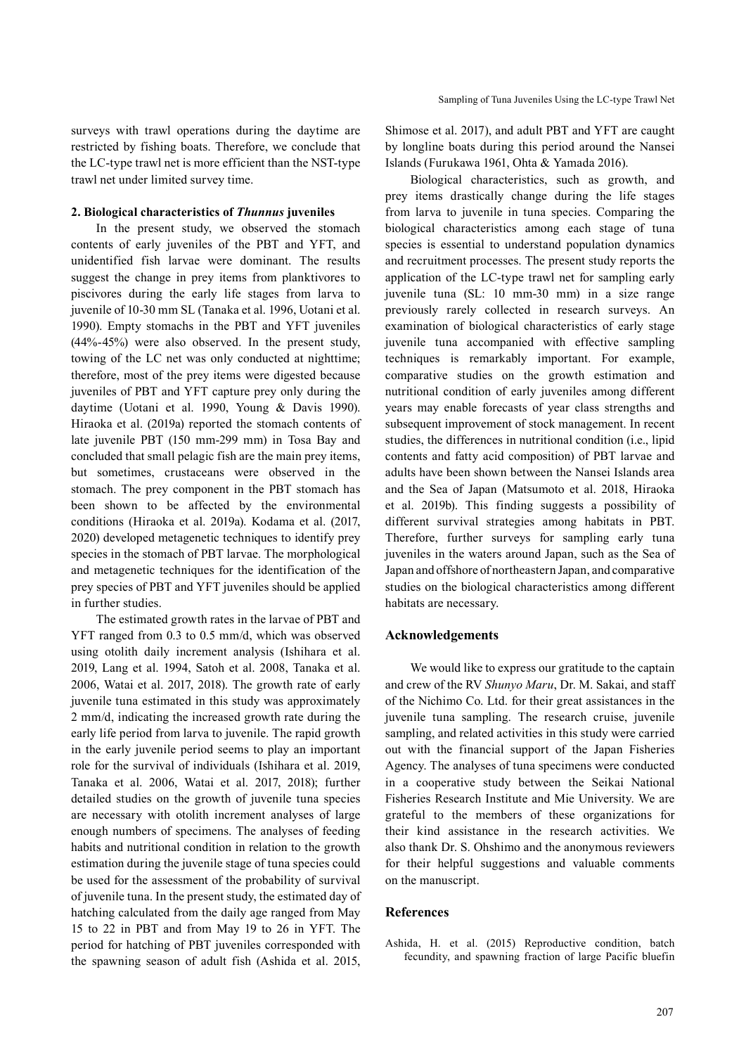surveys with trawl operations during the daytime are restricted by fishing boats. Therefore, we conclude that the LC-type trawl net is more efficient than the NST-type trawl net under limited survey time.

## **2. Biological characteristics of** *Thunnus* **juveniles**

In the present study, we observed the stomach contents of early juveniles of the PBT and YFT, and unidentified fish larvae were dominant. The results suggest the change in prey items from planktivores to piscivores during the early life stages from larva to juvenile of 10-30 mm SL (Tanaka et al. 1996, Uotani et al. 1990). Empty stomachs in the PBT and YFT juveniles (44%-45%) were also observed. In the present study, towing of the LC net was only conducted at nighttime; therefore, most of the prey items were digested because juveniles of PBT and YFT capture prey only during the daytime (Uotani et al. 1990, Young & Davis 1990). Hiraoka et al. (2019a) reported the stomach contents of late juvenile PBT (150 mm-299 mm) in Tosa Bay and concluded that small pelagic fish are the main prey items, but sometimes, crustaceans were observed in the stomach. The prey component in the PBT stomach has been shown to be affected by the environmental conditions (Hiraoka et al. 2019a). Kodama et al. (2017, 2020) developed metagenetic techniques to identify prey species in the stomach of PBT larvae. The morphological and metagenetic techniques for the identification of the prey species of PBT and YFT juveniles should be applied in further studies.

The estimated growth rates in the larvae of PBT and YFT ranged from 0.3 to 0.5 mm/d, which was observed using otolith daily increment analysis (Ishihara et al. 2019, Lang et al. 1994, Satoh et al. 2008, Tanaka et al. 2006, Watai et al. 2017, 2018). The growth rate of early juvenile tuna estimated in this study was approximately 2 mm/d, indicating the increased growth rate during the early life period from larva to juvenile. The rapid growth in the early juvenile period seems to play an important role for the survival of individuals (Ishihara et al. 2019, Tanaka et al. 2006, Watai et al. 2017, 2018); further detailed studies on the growth of juvenile tuna species are necessary with otolith increment analyses of large enough numbers of specimens. The analyses of feeding habits and nutritional condition in relation to the growth estimation during the juvenile stage of tuna species could be used for the assessment of the probability of survival of juvenile tuna. In the present study, the estimated day of hatching calculated from the daily age ranged from May 15 to 22 in PBT and from May 19 to 26 in YFT. The period for hatching of PBT juveniles corresponded with the spawning season of adult fish (Ashida et al. 2015, Shimose et al. 2017), and adult PBT and YFT are caught by longline boats during this period around the Nansei Islands (Furukawa 1961, Ohta & Yamada 2016).

Biological characteristics, such as growth, and prey items drastically change during the life stages from larva to juvenile in tuna species. Comparing the biological characteristics among each stage of tuna species is essential to understand population dynamics and recruitment processes. The present study reports the application of the LC-type trawl net for sampling early juvenile tuna (SL: 10 mm-30 mm) in a size range previously rarely collected in research surveys. An examination of biological characteristics of early stage juvenile tuna accompanied with effective sampling techniques is remarkably important. For example, comparative studies on the growth estimation and nutritional condition of early juveniles among different years may enable forecasts of year class strengths and subsequent improvement of stock management. In recent studies, the differences in nutritional condition (i.e., lipid contents and fatty acid composition) of PBT larvae and adults have been shown between the Nansei Islands area and the Sea of Japan (Matsumoto et al. 2018, Hiraoka et al. 2019b). This finding suggests a possibility of different survival strategies among habitats in PBT. Therefore, further surveys for sampling early tuna juveniles in the waters around Japan, such as the Sea of Japan and offshore of northeastern Japan, and comparative studies on the biological characteristics among different habitats are necessary.

## **Acknowledgements**

We would like to express our gratitude to the captain and crew of the RV *Shunyo Maru*, Dr. M. Sakai, and staff of the Nichimo Co. Ltd. for their great assistances in the juvenile tuna sampling. The research cruise, juvenile sampling, and related activities in this study were carried out with the financial support of the Japan Fisheries Agency. The analyses of tuna specimens were conducted in a cooperative study between the Seikai National Fisheries Research Institute and Mie University. We are grateful to the members of these organizations for their kind assistance in the research activities. We also thank Dr. S. Ohshimo and the anonymous reviewers for their helpful suggestions and valuable comments on the manuscript.

#### **References**

Ashida, H. et al. (2015) Reproductive condition, batch fecundity, and spawning fraction of large Pacific bluefin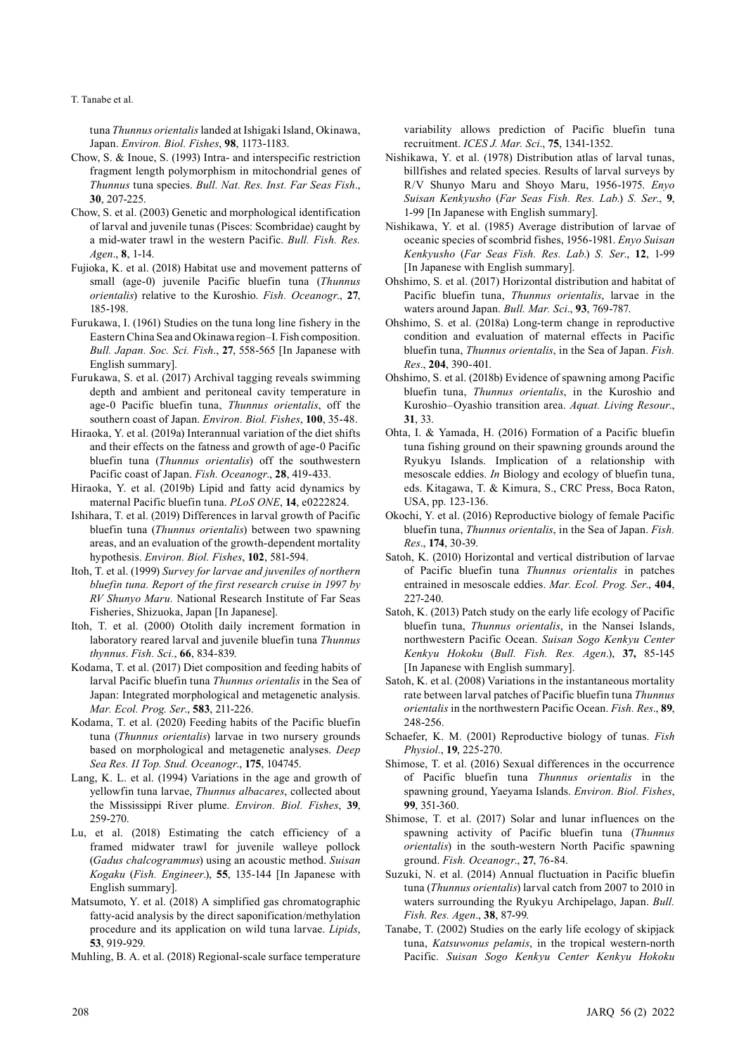T. Tanabe et al.

tuna *Thunnus orientalis* landed at Ishigaki Island, Okinawa, Japan. *Environ. Biol. Fishes*, **98**, 1173-1183.

- Chow, S. & Inoue, S. (1993) Intra- and interspecific restriction fragment length polymorphism in mitochondrial genes of *Thunnus* tuna species. *Bull. Nat. Res. Inst. Far Seas Fish*., **30**, 207-225.
- Chow, S. et al. (2003) Genetic and morphological identification of larval and juvenile tunas (Pisces: Scombridae) caught by a mid-water trawl in the western Pacific. *Bull. Fish. Res. Agen*., **8**, 1-14.
- Fujioka, K. et al. (2018) Habitat use and movement patterns of small (age-0) juvenile Pacific bluefin tuna (*Thunnus orientalis*) relative to the Kuroshio. *Fish. Oceanogr*., **27**, 185-198.
- Furukawa, I. (1961) Studies on the tuna long line fishery in the Eastern China Sea and Okinawa region–I. Fish composition. *Bull. Japan. Soc. Sci. Fish*., **27**, 558-565 [In Japanese with English summary].
- Furukawa, S. et al. (2017) Archival tagging reveals swimming depth and ambient and peritoneal cavity temperature in age-0 Pacific bluefin tuna, *Thunnus orientalis*, off the southern coast of Japan. *Environ. Biol. Fishes*, **100**, 35-48.
- Hiraoka, Y. et al. (2019a) Interannual variation of the diet shifts and their effects on the fatness and growth of age-0 Pacific bluefin tuna (*Thunnus orientalis*) off the southwestern Pacific coast of Japan. *Fish. Oceanogr*., **28**, 419-433.
- Hiraoka, Y. et al. (2019b) Lipid and fatty acid dynamics by maternal Pacific bluefin tuna. *PLoS ONE*, **14**, e0222824.
- Ishihara, T. et al. (2019) Differences in larval growth of Pacific bluefin tuna (*Thunnus orientalis*) between two spawning areas, and an evaluation of the growth-dependent mortality hypothesis. *Environ. Biol. Fishes*, **102**, 581-594.
- Itoh, T. et al. (1999) *Survey for larvae and juveniles of northern bluefin tuna. Report of the first research cruise in 1997 by RV Shunyo Maru.* National Research Institute of Far Seas Fisheries, Shizuoka, Japan [In Japanese].
- Itoh, T. et al. (2000) Otolith daily increment formation in laboratory reared larval and juvenile bluefin tuna *Thunnus thynnus*. *Fish. Sci.*, **66**, 834-839.
- Kodama, T. et al. (2017) Diet composition and feeding habits of larval Pacific bluefin tuna *Thunnus orientalis* in the Sea of Japan: Integrated morphological and metagenetic analysis. *Mar. Ecol. Prog. Ser*., **583**, 211-226.
- Kodama, T. et al. (2020) Feeding habits of the Pacific bluefin tuna (*Thunnus orientalis*) larvae in two nursery grounds based on morphological and metagenetic analyses. *Deep Sea Res. II Top. Stud. Oceanogr*., **175**, 104745.
- Lang, K. L. et al. (1994) Variations in the age and growth of yellowfin tuna larvae, *Thunnus albacares*, collected about the Mississippi River plume. *Environ. Biol. Fishes*, **39**, 259-270.
- Lu, et al. (2018) Estimating the catch efficiency of a framed midwater trawl for juvenile walleye pollock (*Gadus chalcogrammus*) using an acoustic method. *Suisan Kogaku* (*Fish. Engineer*.), **55**, 135-144 [In Japanese with English summary].
- Matsumoto, Y. et al. (2018) A simplified gas chromatographic fatty-acid analysis by the direct saponification/methylation procedure and its application on wild tuna larvae. *Lipids*, **53**, 919-929.

Muhling, B. A. et al. (2018) Regional-scale surface temperature

variability allows prediction of Pacific bluefin tuna recruitment. *ICES J. Mar. Sci*., **75**, 1341-1352.

- Nishikawa, Y. et al. (1978) Distribution atlas of larval tunas, billfishes and related species. Results of larval surveys by R/V Shunyo Maru and Shoyo Maru, 1956-1975. *Enyo Suisan Kenkyusho* (*Far Seas Fish. Res. Lab*.) *S. Ser*., **9**, 1-99 [In Japanese with English summary].
- Nishikawa, Y. et al. (1985) Average distribution of larvae of oceanic species of scombrid fishes, 1956-1981. *Enyo Suisan Kenkyusho* (*Far Seas Fish. Res. Lab*.) *S. Ser*., **12**, 1-99 [In Japanese with English summary].
- Ohshimo, S. et al. (2017) Horizontal distribution and habitat of Pacific bluefin tuna, *Thunnus orientalis*, larvae in the waters around Japan. *Bull. Mar. Sci*., **93**, 769-787.
- Ohshimo, S. et al. (2018a) Long-term change in reproductive condition and evaluation of maternal effects in Pacific bluefin tuna, *Thunnus orientalis*, in the Sea of Japan. *Fish. Res*., **204**, 390-401.
- Ohshimo, S. et al. (2018b) Evidence of spawning among Pacific bluefin tuna, *Thunnus orientalis*, in the Kuroshio and Kuroshio–Oyashio transition area. *Aquat. Living Resour*., **31**, 33.
- Ohta, I. & Yamada, H. (2016) Formation of a Pacific bluefin tuna fishing ground on their spawning grounds around the Ryukyu Islands. Implication of a relationship with mesoscale eddies. *In* Biology and ecology of bluefin tuna, eds. Kitagawa, T. & Kimura, S., CRC Press, Boca Raton, USA, pp. 123-136.
- Okochi, Y. et al. (2016) Reproductive biology of female Pacific bluefin tuna, *Thunnus orientalis*, in the Sea of Japan. *Fish. Res*., **174**, 30-39.
- Satoh, K. (2010) Horizontal and vertical distribution of larvae of Pacific bluefin tuna *Thunnus orientalis* in patches entrained in mesoscale eddies. *Mar. Ecol. Prog. Ser*., **404**, 227-240.
- Satoh, K. (2013) Patch study on the early life ecology of Pacific bluefin tuna, *Thunnus orientalis*, in the Nansei Islands, northwestern Pacific Ocean. *Suisan Sogo Kenkyu Center Kenkyu Hokoku* (*Bull. Fish. Res. Agen*.), **37,** 85-145 [In Japanese with English summary].
- Satoh, K. et al. (2008) Variations in the instantaneous mortality rate between larval patches of Pacific bluefin tuna *Thunnus orientalis* in the northwestern Pacific Ocean. *Fish. Res*., **89**, 248-256.
- Schaefer, K. M. (2001) Reproductive biology of tunas. *Fish Physiol.*, **19**, 225-270.
- Shimose, T. et al. (2016) Sexual differences in the occurrence of Pacific bluefin tuna *Thunnus orientalis* in the spawning ground, Yaeyama Islands. *Environ. Biol. Fishes*, **99**, 351-360.
- Shimose, T. et al. (2017) Solar and lunar influences on the spawning activity of Pacific bluefin tuna (*Thunnus orientalis*) in the south-western North Pacific spawning ground. *Fish. Oceanogr*., **27**, 76-84.
- Suzuki, N. et al. (2014) Annual fluctuation in Pacific bluefin tuna (*Thunnus orientalis*) larval catch from 2007 to 2010 in waters surrounding the Ryukyu Archipelago, Japan. *Bull. Fish. Res. Agen*., **38**, 87-99.
- Tanabe, T. (2002) Studies on the early life ecology of skipjack tuna, *Katsuwonus pelamis*, in the tropical western-north Pacific. *Suisan Sogo Kenkyu Center Kenkyu Hokoku*